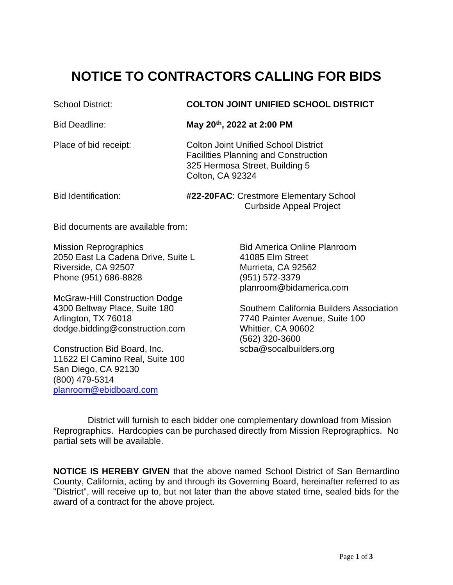## **NOTICE TO CONTRACTORS CALLING FOR BIDS**

Colton, CA 92324

## School District: **COLTON JOINT UNIFIED SCHOOL DISTRICT**

Bid Deadline: **May 20th, 2022 at 2:00 PM**

Place of bid receipt: Colton Joint Unified School District Facilities Planning and Construction

325 Hermosa Street, Building 5

Bid Identification: **#22-20FAC**: Crestmore Elementary School Curbside Appeal Project

Bid documents are available from:

Mission Reprographics The Control Bid America Online Planroom 2050 East La Cadena Drive, Suite L 41085 Elm Street Riverside, CA 92507 Murrieta, CA 92562 Phone (951) 686-8828 (951) 572-3379

McGraw-Hill Construction Dodge Arlington, TX 76018 7740 Painter Avenue, Suite 100 dodge.bidding@construction.com Whittier, CA 90602

Construction Bid Board, Inc. Scba@socalbuilders.org 11622 El Camino Real, Suite 100 San Diego, CA 92130 (800) 479-5314 [planroom@ebidboard.com](mailto:planroom@ebidboard.com)

planroom@bidamerica.com

4300 Beltway Place, Suite 180 Southern California Builders Association (562) 320-3600

 District will furnish to each bidder one complementary download from Mission Reprographics. Hardcopies can be purchased directly from Mission Reprographics. No partial sets will be available.

**NOTICE IS HEREBY GIVEN** that the above named School District of San Bernardino County, California, acting by and through its Governing Board, hereinafter referred to as "District", will receive up to, but not later than the above stated time, sealed bids for the award of a contract for the above project.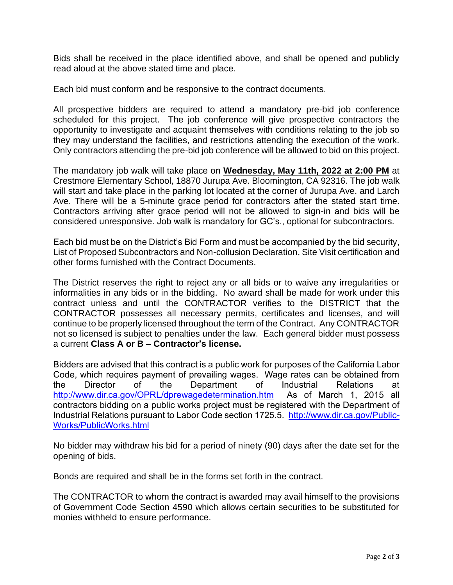Bids shall be received in the place identified above, and shall be opened and publicly read aloud at the above stated time and place.

Each bid must conform and be responsive to the contract documents.

All prospective bidders are required to attend a mandatory pre-bid job conference scheduled for this project. The job conference will give prospective contractors the opportunity to investigate and acquaint themselves with conditions relating to the job so they may understand the facilities, and restrictions attending the execution of the work. Only contractors attending the pre-bid job conference will be allowed to bid on this project.

The mandatory job walk will take place on **Wednesday, May 11th, 2022 at 2:00 PM** at Crestmore Elementary School, 18870 Jurupa Ave. Bloomington, CA 92316. The job walk will start and take place in the parking lot located at the corner of Jurupa Ave. and Larch Ave. There will be a 5-minute grace period for contractors after the stated start time. Contractors arriving after grace period will not be allowed to sign-in and bids will be considered unresponsive. Job walk is mandatory for GC's., optional for subcontractors.

Each bid must be on the District's Bid Form and must be accompanied by the bid security, List of Proposed Subcontractors and Non-collusion Declaration, Site Visit certification and other forms furnished with the Contract Documents.

The District reserves the right to reject any or all bids or to waive any irregularities or informalities in any bids or in the bidding. No award shall be made for work under this contract unless and until the CONTRACTOR verifies to the DISTRICT that the CONTRACTOR possesses all necessary permits, certificates and licenses, and will continue to be properly licensed throughout the term of the Contract. Any CONTRACTOR not so licensed is subject to penalties under the law. Each general bidder must possess a current **Class A or B – Contractor's license.**

Bidders are advised that this contract is a public work for purposes of the California Labor Code, which requires payment of prevailing wages. Wage rates can be obtained from the Director of the Department of Industrial Relations at <http://www.dir.ca.gov/OPRL/dprewagedetermination.htm>As of March 1, 2015 all contractors bidding on a public works project must be registered with the Department of Industrial Relations pursuant to Labor Code section 1725.5. [http://www.dir.ca.gov/Public-](http://www.dir.ca.gov/Public-Works/PublicWorks.html)[Works/PublicWorks.html](http://www.dir.ca.gov/Public-Works/PublicWorks.html)

No bidder may withdraw his bid for a period of ninety (90) days after the date set for the opening of bids.

Bonds are required and shall be in the forms set forth in the contract.

The CONTRACTOR to whom the contract is awarded may avail himself to the provisions of Government Code Section 4590 which allows certain securities to be substituted for monies withheld to ensure performance.